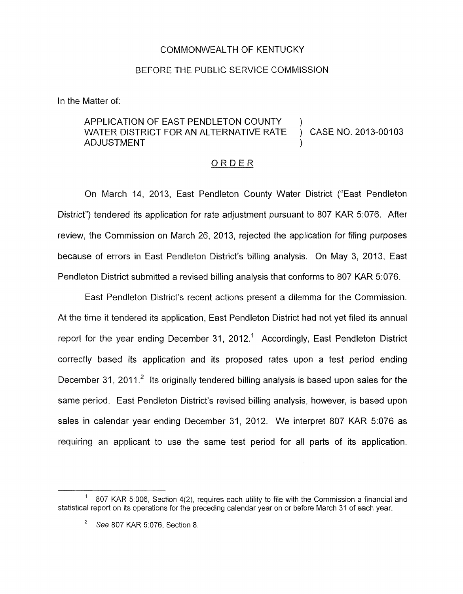## COMMONWEALTH OF KENTUCKY

## BEFORE THE PUBLIC SERVICE COMMISSION

In the Matter of:

## APPLICATION OF EAST PENDLETON COUNTY )<br>WATER DISTRICT FOR AN ALTERNATIVE RATE ) CASE NO. 2013-00103 WATER DISTRICT FOR AN ALTERNATIVE RATE **ADJUSTMENT**

## ORDER

On March 14, 2013, East Pendleton County Water District ("East Pendleton District") tendered its application for rate adjustment pursuant to 807 KAR 5:076. After review, the Commission on March 26, 2013, rejected the application for filing purposes because of errors in East Pendleton District's billing analysis. On May 3, 2013, East Pendleton District submitted a revised billing analysis that conforms to 807 KAR 5:076.

East Pendleton District's recent actions present a dilemma for the Commission. At the time it tendered its application, East Pendleton District had not yet filed its annual report for the year ending December 31, 2012.<sup>1</sup> Accordingly, East Pendleton District correctly based its application and its proposed rates upon a test period ending December 31, 2011.<sup>2</sup> Its originally tendered billing analysis is based upon sales for the same period. East Pendleton District's revised billing analysis, however, is based upon sales in calendar year ending December 31, 2012. We interpret 807 KAR 5:076 as requiring an applicant to use the same test period for all parts of its application.

<sup>807</sup> KAR 5:006, Section 4(2), requires each utility to file with the Commission a financial and **1**  statistical report on its operations for the preceding calendar year on or before March 31 of each year.

See 807 KAR 5:076, Section 8, **2**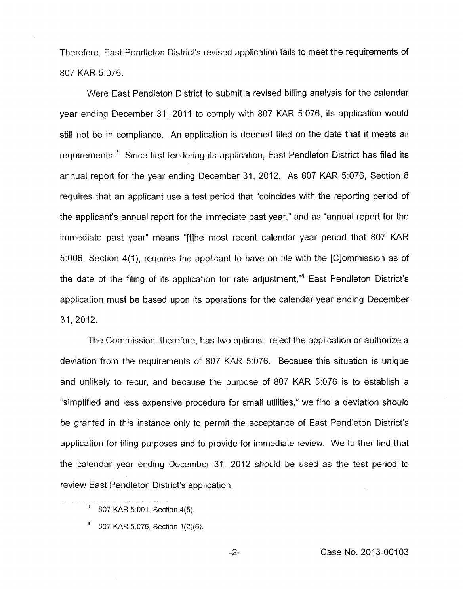Therefore, East Pendleton District's revised application fails to meet the requirements of 807 KAR *5:076.* 

Were East Pendleton District to submit a revised billing analysis for the calendar year ending December 31, 2011 to comply with 807 KAR 5:076, its application would still not be in compliance. An application is deemed filed on the date that it meets all requirements. $<sup>3</sup>$  Since first tendering its application, East Pendleton District has filed its</sup> annual report for the year ending December 31, 2012. As 807 KAR 5:076, Section 8 requires that an applicant use a test period that "coincides with the reporting period of the applicant's annual report for the immediate past year," and as "annual report for the immediate past year" means "[tlhe most recent calendar year period that 807 KAR 51006, Section **4(1),** requires the applicant to have on file with the [C]ommission as of the date of the filing of its application for rate adjustment, $n^4$  East Pendleton District's application must be based upon its operations for the calendar year ending December 31, 2012.

The Commission, therefore, has two options: reject the application or authorize a deviation from the requirements of 807 KAR 5:076. Because this situation is unique and unlikely to recur, and because the purpose of 807 KAR 5:076 is to establish a "simplified and less expensive procedure for small utilities," we find a deviation should be granted in this instance only to permit the acceptance of East Pendleton District's application for filing purposes and to provide for immediate review. We further find that the calendar year ending December 31, 2012 should be used as the test period to review East Pendleton District's application.

*<sup>807</sup> KAR* 5:001, Section 4(5).

*<sup>807</sup>* KAR *5.076,* Section 1(2)(6).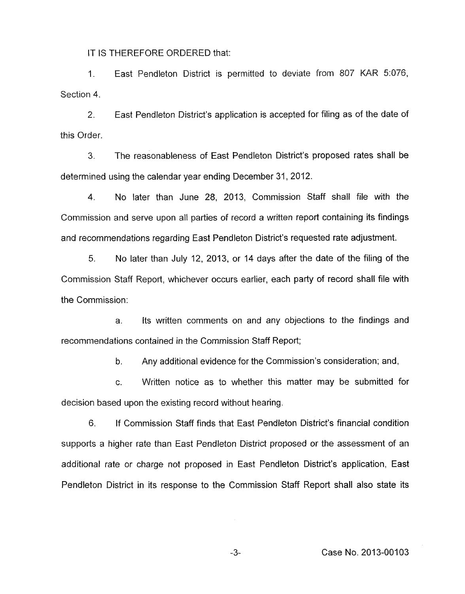IT IS THEREFORE ORDERED that:

1. East Pendleton District is permitted to deviate from 807 KAR 5:076, Section **4.** 

*2.* East Pendleton District's application is accepted for filing as of the date of this Order.

3. The reasonableness of East Pendleton District's proposed rates shall be determined using the calendar year ending December 31, 2012.

4. No later than June 28, 2013, Commission Staff shall file with the Commission and serve upon all parties *of* record a written report containing its findings and recommendations regarding East Pendieton District's requested rate adjustment.

*5.* No later than July 12, 2013, or 14 days after the date of the filing of the Commission Staff Report, whichever occurs earlier, each party of record shall file with the Commission:

a. its written comments on and any objections to the findings and recommendations contained in the Commission Staff Report;

> b. Any additional evidence for the Commission's consideration; and,

c. Written notice as to whether this matter may be submitted for decision based upon the existing record without hearing.

6. If Commission Staff finds that East Pendleton District's financial condition supports a higher rate than East Pendleton District proposed or the assessment of an additional rate or charge not proposed in East Pendleton District's application, East Pendleton District in its response to the Commission Staff Report shall also state its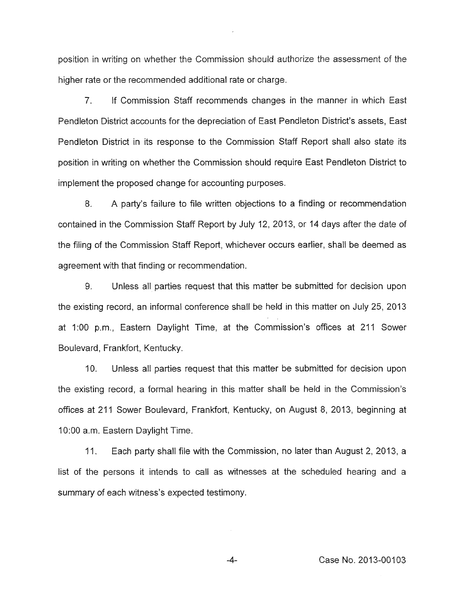position in writing on whether the Commission should authorize the assessment of the higher rate or the recommended additional rate or charge.

*7.* If Commission Staff recommends changes in the manner in which East Pendleton District accounts for the depreciation of East Pendleton District's assets, East Pendleton District in its response to the Commission Staff Report shall also state its position in writing on whether the Commission should require East Pendleton District to implement the proposed change for accounting purposes.

8. A party's failure to file written objections to a finding or recommendation contained in the Commission Staff Report by July 12, 2013, or 14 days after the date of the filing of the Commission Staff Report, whichever occurs earlier, shall be deemed as agreement with that finding or recommendation.

9. Unless all parties request that this matter be submitted for decision upon the existing record, an informal conference shall be held in this matter on July 25, 2013 at 1:00 p.m., Eastern Daylight Time, at the Commission's offices at 211 Sower Boulevard, Frankfort, Kentucky.

**IO.** Unless all parties request that this matter be submitted for decision upon the existing record, a formal hearing in this matter shall be held in the Commission's offices at 211 Sower Boulevard, Frankfort, Kentucky, on August 8, 2013, beginning at 1O:OO a.m. Eastern Daylight Time.

11. Each party shall file with the Commission, no later than August 2, 2013, a list of the persons it intends to call as witnesses at the scheduled hearing and a summary of each witness's expected testimony.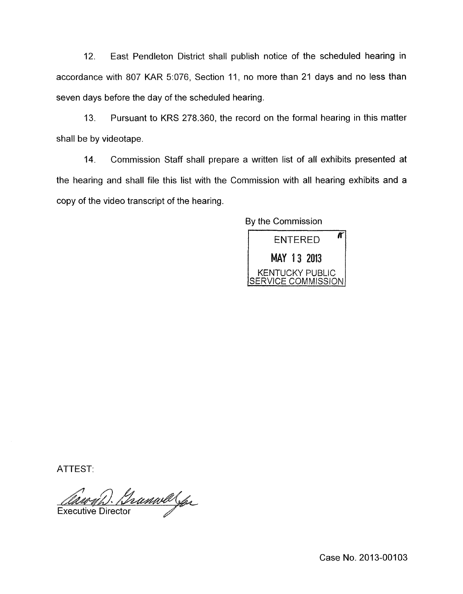12. East Pendleton District shall publish notice of the scheduled hearing in accordance with 807 KAR 5:076, Section 11, no more than 21 days and no less than seven days before the day of the scheduled hearing.

13. Pursuant to KRS 278.360, the record on the formal hearing in this matter shall be by videotape.

14. Commission Staff shall prepare a written list of all exhibits presented at the hearing and shall file this list with the Commission with all hearing exhibits and a copy of the video transcript of the hearing.

By the Commission



ATTEST:

Gramvalga

**Executive Director** 

Case No. 2013-00103